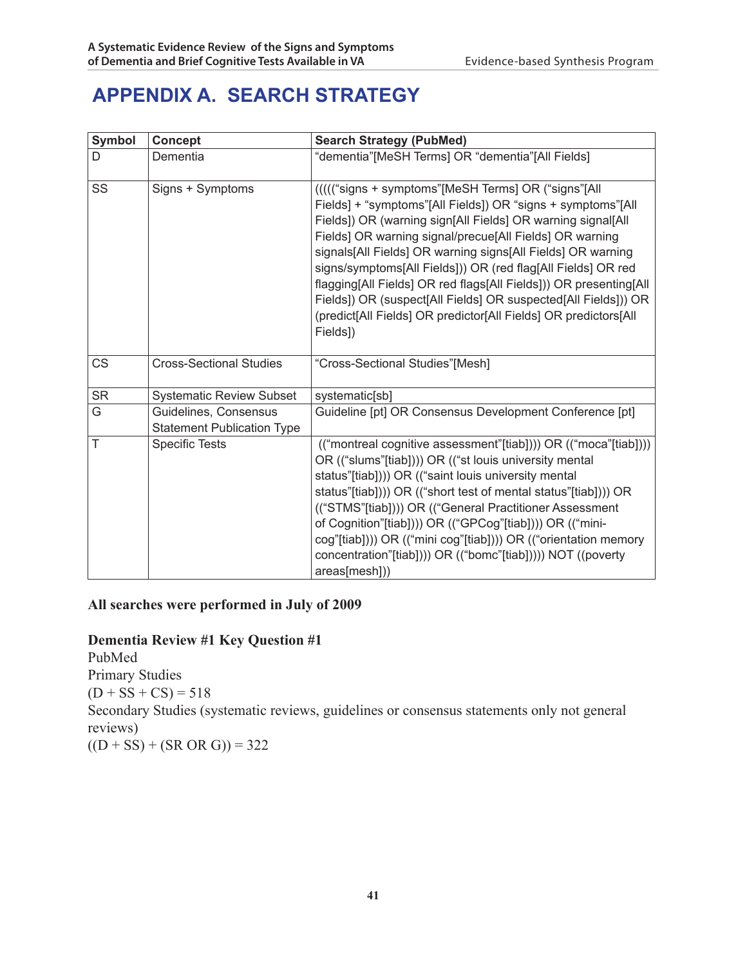# **APPENDIX A. SEARCH STRATEGY**

| Symbol    | <b>Concept</b>                                             | <b>Search Strategy (PubMed)</b>                                                                                                                                                                                                                                                                                                                                                                                                                                                                                                                                                                   |  |
|-----------|------------------------------------------------------------|---------------------------------------------------------------------------------------------------------------------------------------------------------------------------------------------------------------------------------------------------------------------------------------------------------------------------------------------------------------------------------------------------------------------------------------------------------------------------------------------------------------------------------------------------------------------------------------------------|--|
| D         | Dementia                                                   | "dementia"[MeSH Terms] OR "dementia"[All Fields]                                                                                                                                                                                                                                                                                                                                                                                                                                                                                                                                                  |  |
| SS        | Signs + Symptoms                                           | ((((("signs + symptoms"[MeSH Terms] OR ("signs"[All<br>Fields] + "symptoms"[All Fields]) OR "signs + symptoms"[All<br>Fields]) OR (warning sign[All Fields] OR warning signal[All<br>Fields] OR warning signal/precue[All Fields] OR warning<br>signals[All Fields] OR warning signs[All Fields] OR warning<br>signs/symptoms[All Fields])) OR (red flag[All Fields] OR red<br>flagging[All Fields] OR red flags[All Fields])) OR presenting[All<br>Fields]) OR (suspect[All Fields] OR suspected[All Fields])) OR<br>(predict[All Fields] OR predictor[All Fields] OR predictors[All<br>Fields]) |  |
| <b>CS</b> | <b>Cross-Sectional Studies</b>                             | "Cross-Sectional Studies"[Mesh]                                                                                                                                                                                                                                                                                                                                                                                                                                                                                                                                                                   |  |
| <b>SR</b> | <b>Systematic Review Subset</b>                            | systematic[sb]                                                                                                                                                                                                                                                                                                                                                                                                                                                                                                                                                                                    |  |
| G         | Guidelines, Consensus<br><b>Statement Publication Type</b> | Guideline [pt] OR Consensus Development Conference [pt]                                                                                                                                                                                                                                                                                                                                                                                                                                                                                                                                           |  |
| T         | <b>Specific Tests</b>                                      | (("montreal cognitive assessment"[tiab]))) OR (("moca"[tiab])))<br>OR (("slums"[tiab]))) OR (("st louis university mental<br>status"[tiab]))) OR (("saint louis university mental<br>status"[tiab]))) OR (("short test of mental status"[tiab]))) OR<br>(("STMS"[tiab]))) OR (("General Practitioner Assessment<br>of Cognition"[tiab]))) OR (("GPCog"[tiab]))) OR (("mini-<br>cog"[tiab]))) OR (("mini cog"[tiab]))) OR (("orientation memory<br>concentration"[tiab]))) OR (("bomc"[tiab])))) NOT ((poverty<br>areas[mesh]))                                                                    |  |

#### **All searches were performed in July of 2009**

#### **Dementia Review #1 Key Question #1**

PubMed Primary Studies  $(D + SS + CS) = 518$ Secondary Studies (systematic reviews, guidelines or consensus statements only not general reviews)  $((D + SS) + (SR OR G)) = 322$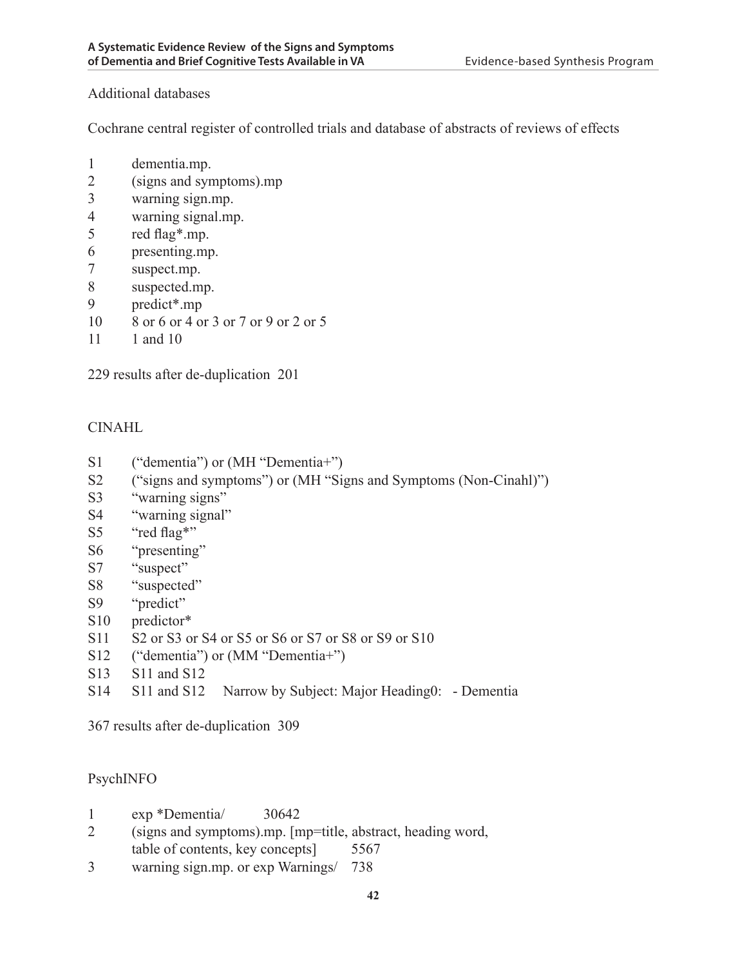#### Additional databases

Cochrane central register of controlled trials and database of abstracts of reviews of effects

- 1 dementia.mp.
- 2 (signs and symptoms).mp
- 3 warning sign.mp.
- 4 warning signal.mp.
- 5 red flag\*.mp.
- 6 presenting.mp.
- 7 suspect.mp.
- 8 suspected.mp.
- 9 predict\*.mp
- 10 8 or 6 or 4 or 3 or 7 or 9 or 2 or 5
- 11 1 and 10

229 results after de-duplication 201

#### CINAHL

- S1 ("dementia") or (MH "Dementia+")
- S2 ("signs and symptoms") or (MH "Signs and Symptoms (Non-Cinahl)")
- S3 "warning signs"
- S4 "warning signal"
- S5 "red flag\*"
- S6 "presenting"
- S7 "suspect"
- S8 "suspected"
- S9 "predict"
- S10 predictor\*
- S11 S2 or S3 or S4 or S5 or S6 or S7 or S8 or S9 or S10
- S12 ("dementia") or (MM "Dementia+")
- S13 S11 and S12
- S14 S11 and S12 Narrow by Subject: Major Heading0: Dementia

367 results after de-duplication 309

#### PsychINFO

- 1 exp \*Dementia/ 30642
- 2 (signs and symptoms).mp. [mp=title, abstract, heading word, table of contents, key concepts] 5567
- 3 warning sign.mp. or exp Warnings/ 738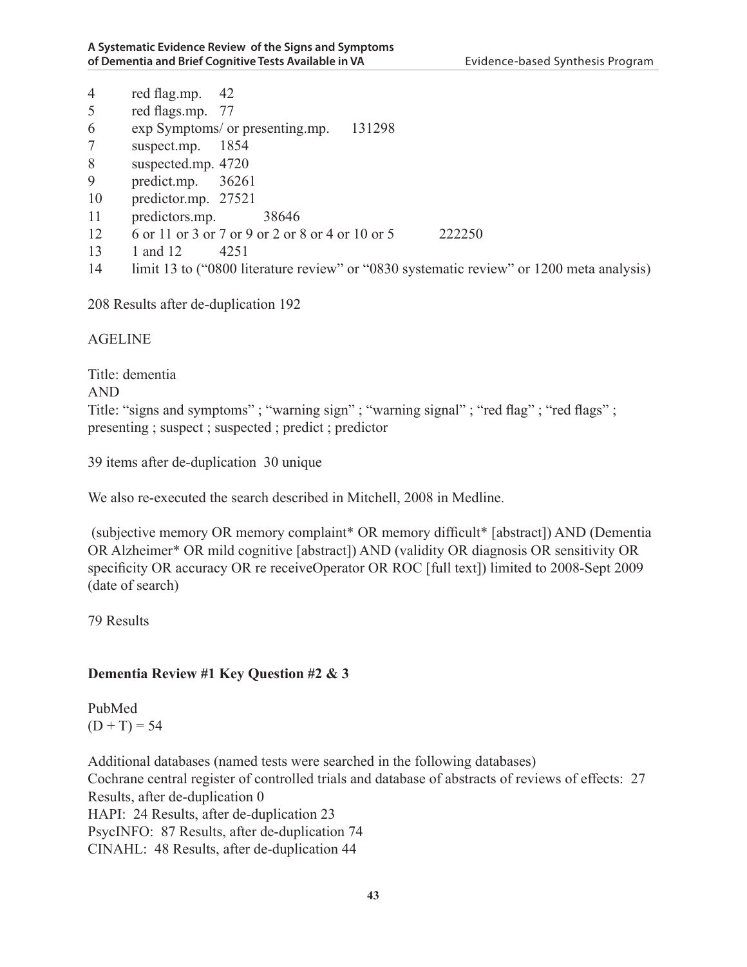|          | 38646 |                                                                                                                                                                                            |                                                                                                                                                        |
|----------|-------|--------------------------------------------------------------------------------------------------------------------------------------------------------------------------------------------|--------------------------------------------------------------------------------------------------------------------------------------------------------|
|          |       |                                                                                                                                                                                            | 222250                                                                                                                                                 |
| 1 and 12 |       |                                                                                                                                                                                            |                                                                                                                                                        |
|          |       |                                                                                                                                                                                            |                                                                                                                                                        |
|          |       | red flag.mp. $42$<br>red flags.mp. 77<br>exp Symptoms/ or presenting.mp.<br>suspect.mp. 1854<br>suspected.mp. 4720<br>predict.mp. $36261$<br>predictor.mp. 27521<br>predictors.mp.<br>4251 | 131298<br>6 or 11 or 3 or 7 or 9 or 2 or 8 or 4 or 10 or 5<br>limit 13 to ("0800 literature review" or "0830 systematic review" or 1200 meta analysis) |

208 Results after de-duplication 192

AGELINE

Title: dementia AND Title: "signs and symptoms"; "warning sign"; "warning signal"; "red flag"; "red flags"; presenting ; suspect ; suspected ; predict ; predictor

39 items after de-duplication 30 unique

We also re-executed the search described in Mitchell, 2008 in Medline.

 (subjective memory OR memory complaint\* OR memory difficult\* [abstract]) AND (Dementia OR Alzheimer\* OR mild cognitive [abstract]) AND (validity OR diagnosis OR sensitivity OR specificity OR accuracy OR re receiveOperator OR ROC [full text]) limited to 2008-Sept 2009 (date of search)

79 Results

#### **Dementia Review #1 Key Question #2 & 3**

PubMed  $(D + T) = 54$ 

Additional databases (named tests were searched in the following databases) Cochrane central register of controlled trials and database of abstracts of reviews of effects: 27 Results, after de-duplication 0 HAPI: 24 Results, after de-duplication 23 PsycINFO: 87 Results, after de-duplication 74 CINAHL: 48 Results, after de-duplication 44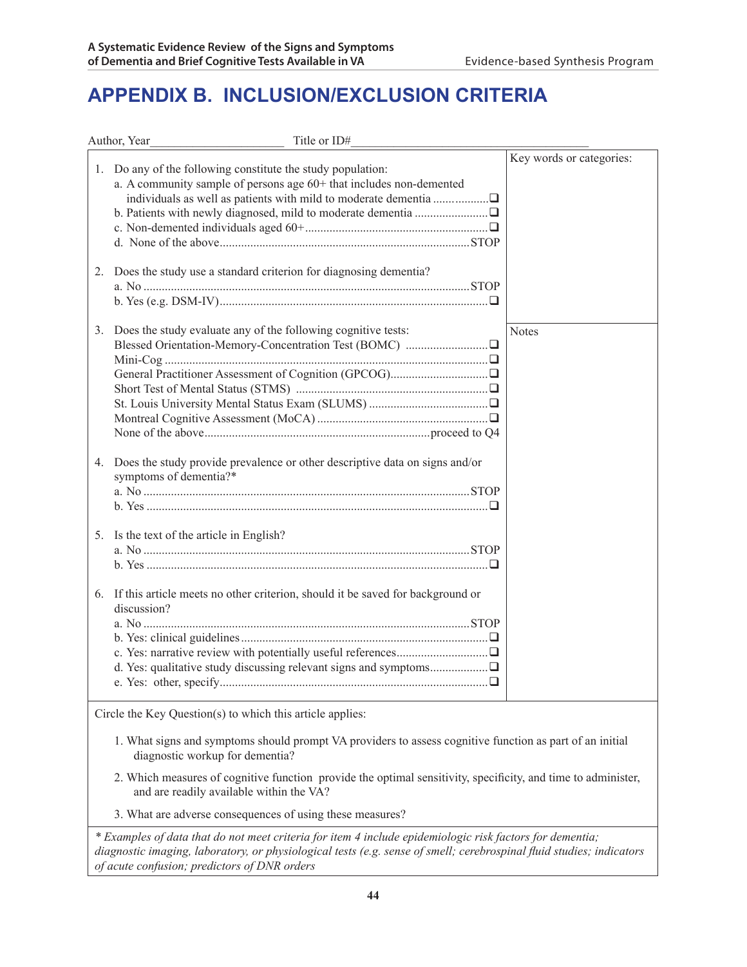## **APPENDIX B. Inclusion/Exclusion Criteria**

|                | Author, Year<br>Title or ID#                                                                                                                                                                          |                          |
|----------------|-------------------------------------------------------------------------------------------------------------------------------------------------------------------------------------------------------|--------------------------|
| 1.<br>2.       | Do any of the following constitute the study population:<br>a. A community sample of persons age $60+$ that includes non-demented<br>Does the study use a standard criterion for diagnosing dementia? | Key words or categories: |
|                |                                                                                                                                                                                                       |                          |
| 3.             | Does the study evaluate any of the following cognitive tests:                                                                                                                                         | <b>Notes</b>             |
| 4.             | Does the study provide prevalence or other descriptive data on signs and/or<br>symptoms of dementia?*                                                                                                 |                          |
| 5 <sub>1</sub> | Is the text of the article in English?                                                                                                                                                                |                          |
| 6.             | If this article meets no other criterion, should it be saved for background or<br>discussion?                                                                                                         |                          |
|                | Circle the Key Question(s) to which this article applies:                                                                                                                                             |                          |
|                | 1. What signs and symptoms should prompt VA providers to assess cognitive function as part of an initial<br>diagnostic workup for dementia?                                                           |                          |
|                | 2. Which measures of cognitive function provide the optimal sensitivity, specificity, and time to administer,<br>and are readily available within the VA?                                             |                          |
|                | 3. What are adverse consequences of using these measures?                                                                                                                                             |                          |

*\* Examples of data that do not meet criteria for item 4 include epidemiologic risk factors for dementia; diagnostic imaging, laboratory, or physiological tests (e.g. sense of smell; cerebrospinal fluid studies; indicators of acute confusion; predictors of DNR orders*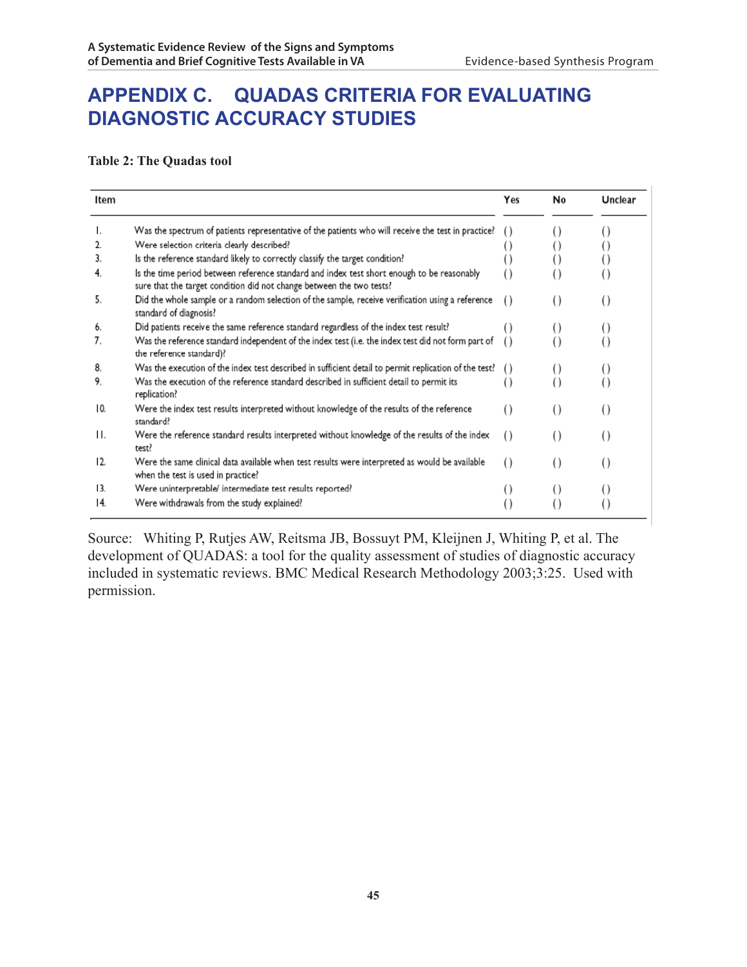### **APPENDIX C. QUADAS CRITERIA for evaluating Diagnostic Accuracy Studies**

**Table 2: The Quadas tool**

| Item |                                                                                                                                                                    | Yes              | No               | Unclear          |
|------|--------------------------------------------------------------------------------------------------------------------------------------------------------------------|------------------|------------------|------------------|
| ı.   | Was the spectrum of patients representative of the patients who will receive the test in practice?                                                                 | $^{(1)}$         |                  |                  |
| 2.   | Were selection criteria clearly described?                                                                                                                         |                  |                  |                  |
| 3.   | Is the reference standard likely to correctly classify the target condition?                                                                                       |                  |                  |                  |
| 4.   | Is the time period between reference standard and index test short enough to be reasonably<br>sure that the target condition did not change between the two tests? | $^{()}$          |                  |                  |
| 5.   | Did the whole sample or a random selection of the sample, receive verification using a reference<br>standard of diagnosis?                                         | $^{(+)}$         | $^{(+)}$         | $^{()}$          |
| 6.   | Did patients receive the same reference standard regardless of the index test result?                                                                              | ( )              | $^{()}$          |                  |
| 7.   | Was the reference standard independent of the index test (i.e. the index test did not form part of<br>the reference standard)?                                     | $\left( \right)$ |                  |                  |
| 8.   | Was the execution of the index test described in sufficient detail to permit replication of the test?                                                              | $\left( \right)$ | $^{()}$          |                  |
| 9.   | Was the execution of the reference standard described in sufficient detail to permit its<br>replication?                                                           | $\left( \right)$ |                  |                  |
| 10.  | Were the index test results interpreted without knowledge of the results of the reference<br>standard?                                                             | $^{()}$          | $\left( \right)$ | $\left( \right)$ |
| Н.   | Were the reference standard results interpreted without knowledge of the results of the index<br>test?                                                             | $\left( \right)$ | $\left( \right)$ | $\left( \right)$ |
| 12.  | Were the same clinical data available when test results were interpreted as would be available<br>when the test is used in practice?                               | $\left( \right)$ | $\left( \right)$ | $\left( \right)$ |
| 13.  | Were uninterpretable/ intermediate test results reported?                                                                                                          | $^{()}$          | $\left( \right)$ | $\left( \right)$ |
| 14.  | Were withdrawals from the study explained?                                                                                                                         |                  | $\left( \right)$ |                  |

Source: Whiting P, Rutjes AW, Reitsma JB, Bossuyt PM, Kleijnen J, Whiting P, et al. The development of QUADAS: a tool for the quality assessment of studies of diagnostic accuracy included in systematic reviews. BMC Medical Research Methodology 2003;3:25. Used with permission.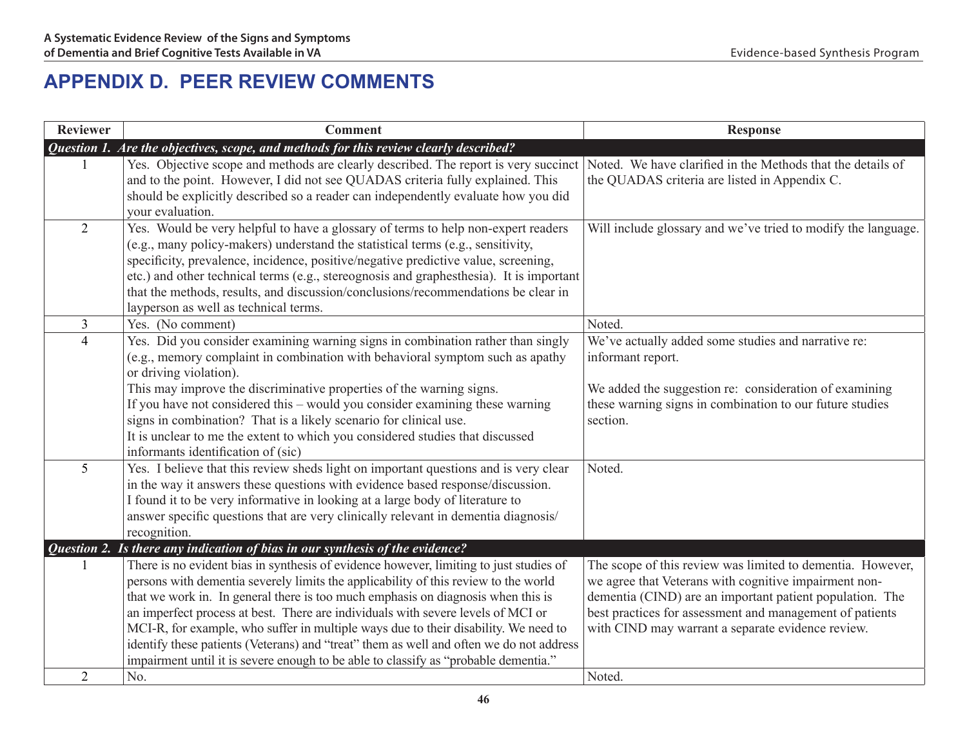# **APPENDIX D. PEER REVIEW COMMENTS**

| Reviewer       | <b>Comment</b>                                                                                                                                                                                                                                                                                                                                                                                                                                                                                                                                 | <b>Response</b>                                                                                                                                                                                                                                                                                  |
|----------------|------------------------------------------------------------------------------------------------------------------------------------------------------------------------------------------------------------------------------------------------------------------------------------------------------------------------------------------------------------------------------------------------------------------------------------------------------------------------------------------------------------------------------------------------|--------------------------------------------------------------------------------------------------------------------------------------------------------------------------------------------------------------------------------------------------------------------------------------------------|
|                | Question 1. Are the objectives, scope, and methods for this review clearly described?                                                                                                                                                                                                                                                                                                                                                                                                                                                          |                                                                                                                                                                                                                                                                                                  |
|                | Yes. Objective scope and methods are clearly described. The report is very succinct<br>and to the point. However, I did not see QUADAS criteria fully explained. This<br>should be explicitly described so a reader can independently evaluate how you did<br>your evaluation.                                                                                                                                                                                                                                                                 | Noted. We have clarified in the Methods that the details of<br>the QUADAS criteria are listed in Appendix C.                                                                                                                                                                                     |
| $\overline{2}$ | Yes. Would be very helpful to have a glossary of terms to help non-expert readers<br>(e.g., many policy-makers) understand the statistical terms (e.g., sensitivity,<br>specificity, prevalence, incidence, positive/negative predictive value, screening,<br>etc.) and other technical terms (e.g., stereognosis and graphesthesia). It is important<br>that the methods, results, and discussion/conclusions/recommendations be clear in<br>layperson as well as technical terms.                                                            | Will include glossary and we've tried to modify the language.                                                                                                                                                                                                                                    |
| $\mathfrak{Z}$ | Yes. (No comment)                                                                                                                                                                                                                                                                                                                                                                                                                                                                                                                              | Noted.                                                                                                                                                                                                                                                                                           |
| $\overline{4}$ | Yes. Did you consider examining warning signs in combination rather than singly<br>(e.g., memory complaint in combination with behavioral symptom such as apathy<br>or driving violation).<br>This may improve the discriminative properties of the warning signs.<br>If you have not considered this – would you consider examining these warning<br>signs in combination? That is a likely scenario for clinical use.<br>It is unclear to me the extent to which you considered studies that discussed<br>informants identification of (sic) | We've actually added some studies and narrative re:<br>informant report.<br>We added the suggestion re: consideration of examining<br>these warning signs in combination to our future studies<br>section.                                                                                       |
| 5              | Yes. I believe that this review sheds light on important questions and is very clear<br>in the way it answers these questions with evidence based response/discussion.<br>I found it to be very informative in looking at a large body of literature to<br>answer specific questions that are very clinically relevant in dementia diagnosis/<br>recognition.                                                                                                                                                                                  | Noted.                                                                                                                                                                                                                                                                                           |
|                | Question 2. Is there any indication of bias in our synthesis of the evidence?                                                                                                                                                                                                                                                                                                                                                                                                                                                                  |                                                                                                                                                                                                                                                                                                  |
|                | There is no evident bias in synthesis of evidence however, limiting to just studies of<br>persons with dementia severely limits the applicability of this review to the world<br>that we work in. In general there is too much emphasis on diagnosis when this is<br>an imperfect process at best. There are individuals with severe levels of MCI or<br>MCI-R, for example, who suffer in multiple ways due to their disability. We need to<br>identify these patients (Veterans) and "treat" them as well and often we do not address        | The scope of this review was limited to dementia. However,<br>we agree that Veterans with cognitive impairment non-<br>dementia (CIND) are an important patient population. The<br>best practices for assessment and management of patients<br>with CIND may warrant a separate evidence review. |
| $\overline{2}$ | impairment until it is severe enough to be able to classify as "probable dementia."<br>No.                                                                                                                                                                                                                                                                                                                                                                                                                                                     | Noted.                                                                                                                                                                                                                                                                                           |
|                |                                                                                                                                                                                                                                                                                                                                                                                                                                                                                                                                                |                                                                                                                                                                                                                                                                                                  |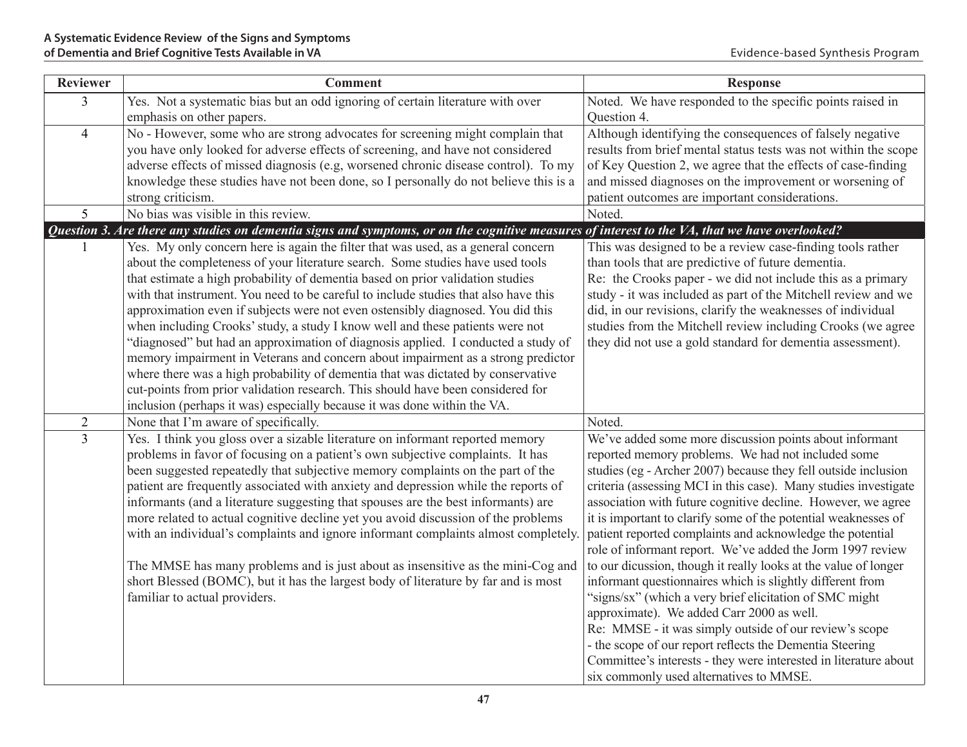| <b>Reviewer</b> | <b>Comment</b>                                                                                                                                 | <b>Response</b>                                                                                                      |
|-----------------|------------------------------------------------------------------------------------------------------------------------------------------------|----------------------------------------------------------------------------------------------------------------------|
| $\overline{3}$  | Yes. Not a systematic bias but an odd ignoring of certain literature with over                                                                 | Noted. We have responded to the specific points raised in                                                            |
|                 | emphasis on other papers.                                                                                                                      | Question 4.                                                                                                          |
| $\overline{4}$  | No - However, some who are strong advocates for screening might complain that                                                                  | Although identifying the consequences of falsely negative                                                            |
|                 | you have only looked for adverse effects of screening, and have not considered                                                                 | results from brief mental status tests was not within the scope                                                      |
|                 | adverse effects of missed diagnosis (e.g. worsened chronic disease control). To my                                                             | of Key Question 2, we agree that the effects of case-finding                                                         |
|                 | knowledge these studies have not been done, so I personally do not believe this is a                                                           | and missed diagnoses on the improvement or worsening of                                                              |
|                 | strong criticism.                                                                                                                              | patient outcomes are important considerations.                                                                       |
| 5               | No bias was visible in this review.                                                                                                            | Noted.                                                                                                               |
|                 | Question 3. Are there any studies on dementia signs and symptoms, or on the cognitive measures of interest to the VA, that we have overlooked? |                                                                                                                      |
|                 | Yes. My only concern here is again the filter that was used, as a general concern                                                              | This was designed to be a review case-finding tools rather                                                           |
|                 | about the completeness of your literature search. Some studies have used tools                                                                 | than tools that are predictive of future dementia.                                                                   |
|                 | that estimate a high probability of dementia based on prior validation studies                                                                 | Re: the Crooks paper - we did not include this as a primary                                                          |
|                 | with that instrument. You need to be careful to include studies that also have this                                                            | study - it was included as part of the Mitchell review and we                                                        |
|                 | approximation even if subjects were not even ostensibly diagnosed. You did this                                                                | did, in our revisions, clarify the weaknesses of individual                                                          |
|                 | when including Crooks' study, a study I know well and these patients were not                                                                  | studies from the Mitchell review including Crooks (we agree                                                          |
|                 | "diagnosed" but had an approximation of diagnosis applied. I conducted a study of                                                              | they did not use a gold standard for dementia assessment).                                                           |
|                 | memory impairment in Veterans and concern about impairment as a strong predictor                                                               |                                                                                                                      |
|                 | where there was a high probability of dementia that was dictated by conservative                                                               |                                                                                                                      |
|                 | cut-points from prior validation research. This should have been considered for                                                                |                                                                                                                      |
|                 | inclusion (perhaps it was) especially because it was done within the VA.                                                                       |                                                                                                                      |
| $\overline{2}$  | None that I'm aware of specifically.                                                                                                           | Noted.                                                                                                               |
| $\overline{3}$  | Yes. I think you gloss over a sizable literature on informant reported memory                                                                  | We've added some more discussion points about informant                                                              |
|                 | problems in favor of focusing on a patient's own subjective complaints. It has                                                                 | reported memory problems. We had not included some                                                                   |
|                 | been suggested repeatedly that subjective memory complaints on the part of the                                                                 | studies (eg - Archer 2007) because they fell outside inclusion                                                       |
|                 | patient are frequently associated with anxiety and depression while the reports of                                                             | criteria (assessing MCI in this case). Many studies investigate                                                      |
|                 | informants (and a literature suggesting that spouses are the best informants) are                                                              | association with future cognitive decline. However, we agree                                                         |
|                 | more related to actual cognitive decline yet you avoid discussion of the problems                                                              | it is important to clarify some of the potential weaknesses of                                                       |
|                 | with an individual's complaints and ignore informant complaints almost completely.                                                             | patient reported complaints and acknowledge the potential                                                            |
|                 |                                                                                                                                                | role of informant report. We've added the Jorm 1997 review                                                           |
|                 | The MMSE has many problems and is just about as insensitive as the mini-Cog and                                                                | to our dicussion, though it really looks at the value of longer                                                      |
|                 | short Blessed (BOMC), but it has the largest body of literature by far and is most<br>familiar to actual providers.                            | informant questionnaires which is slightly different from<br>"signs/sx" (which a very brief elicitation of SMC might |
|                 |                                                                                                                                                | approximate). We added Carr 2000 as well.                                                                            |
|                 |                                                                                                                                                | Re: MMSE - it was simply outside of our review's scope                                                               |
|                 |                                                                                                                                                | - the scope of our report reflects the Dementia Steering                                                             |
|                 |                                                                                                                                                | Committee's interests - they were interested in literature about                                                     |
|                 |                                                                                                                                                | six commonly used alternatives to MMSE.                                                                              |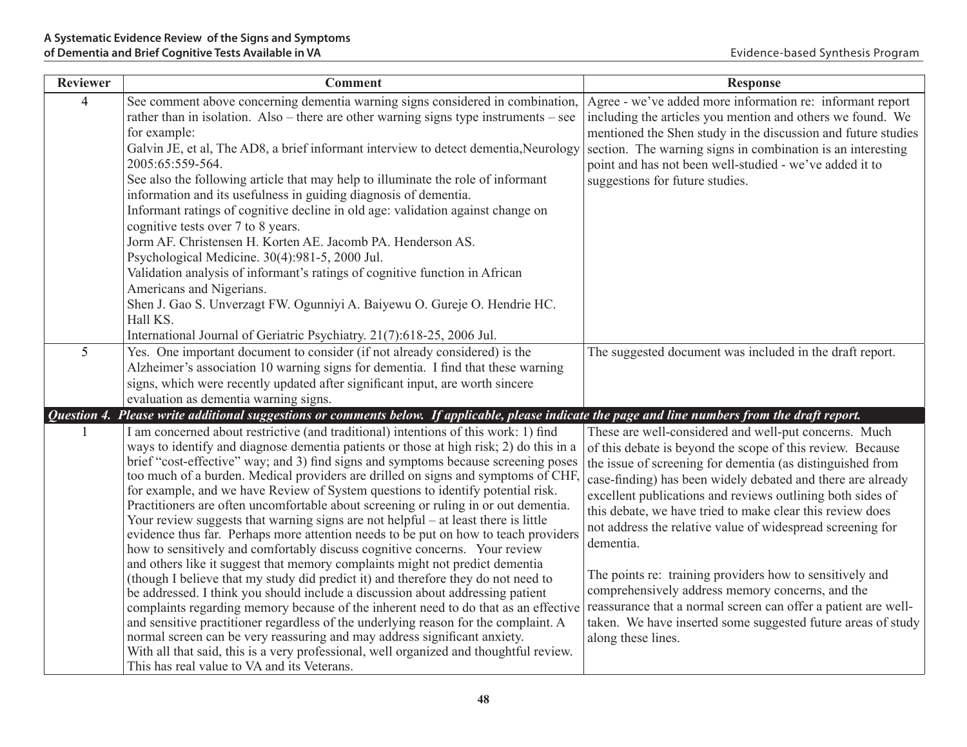| <b>Reviewer</b> | <b>Comment</b>                                                                                                                                                                                                                                                                                                                                                                                                                                                                                                                                                                                                                                                                                                                                                                                                                                                                                                                                                                                                                                                                                                                                                                                                                                                                                                                                                                                                                                             | <b>Response</b>                                                                                                                                                                                                                                                                                                                                                                                                                                                                                                                                                                                                                                                                                                                |
|-----------------|------------------------------------------------------------------------------------------------------------------------------------------------------------------------------------------------------------------------------------------------------------------------------------------------------------------------------------------------------------------------------------------------------------------------------------------------------------------------------------------------------------------------------------------------------------------------------------------------------------------------------------------------------------------------------------------------------------------------------------------------------------------------------------------------------------------------------------------------------------------------------------------------------------------------------------------------------------------------------------------------------------------------------------------------------------------------------------------------------------------------------------------------------------------------------------------------------------------------------------------------------------------------------------------------------------------------------------------------------------------------------------------------------------------------------------------------------------|--------------------------------------------------------------------------------------------------------------------------------------------------------------------------------------------------------------------------------------------------------------------------------------------------------------------------------------------------------------------------------------------------------------------------------------------------------------------------------------------------------------------------------------------------------------------------------------------------------------------------------------------------------------------------------------------------------------------------------|
| $\overline{4}$  | See comment above concerning dementia warning signs considered in combination,<br>rather than in isolation. Also – there are other warning signs type instruments – see<br>for example:<br>Galvin JE, et al, The AD8, a brief informant interview to detect dementia, Neurology<br>2005:65:559-564.<br>See also the following article that may help to illuminate the role of informant<br>information and its usefulness in guiding diagnosis of dementia.<br>Informant ratings of cognitive decline in old age: validation against change on<br>cognitive tests over 7 to 8 years.<br>Jorm AF. Christensen H. Korten AE. Jacomb PA. Henderson AS.<br>Psychological Medicine. 30(4):981-5, 2000 Jul.<br>Validation analysis of informant's ratings of cognitive function in African<br>Americans and Nigerians.<br>Shen J. Gao S. Unverzagt FW. Ogunniyi A. Baiyewu O. Gureje O. Hendrie HC.<br>Hall KS.<br>International Journal of Geriatric Psychiatry. 21(7):618-25, 2006 Jul.                                                                                                                                                                                                                                                                                                                                                                                                                                                                        | Agree - we've added more information re: informant report<br>including the articles you mention and others we found. We<br>mentioned the Shen study in the discussion and future studies<br>section. The warning signs in combination is an interesting<br>point and has not been well-studied - we've added it to<br>suggestions for future studies.                                                                                                                                                                                                                                                                                                                                                                          |
| 5               | Yes. One important document to consider (if not already considered) is the<br>Alzheimer's association 10 warning signs for dementia. I find that these warning<br>signs, which were recently updated after significant input, are worth sincere<br>evaluation as dementia warning signs.                                                                                                                                                                                                                                                                                                                                                                                                                                                                                                                                                                                                                                                                                                                                                                                                                                                                                                                                                                                                                                                                                                                                                                   | The suggested document was included in the draft report.                                                                                                                                                                                                                                                                                                                                                                                                                                                                                                                                                                                                                                                                       |
| Question 4.     | Please write additional suggestions or comments below. If applicable, please indicate the page and line numbers from the draft report.                                                                                                                                                                                                                                                                                                                                                                                                                                                                                                                                                                                                                                                                                                                                                                                                                                                                                                                                                                                                                                                                                                                                                                                                                                                                                                                     |                                                                                                                                                                                                                                                                                                                                                                                                                                                                                                                                                                                                                                                                                                                                |
|                 | I am concerned about restrictive (and traditional) intentions of this work: 1) find<br>ways to identify and diagnose dementia patients or those at high risk; 2) do this in a<br>brief "cost-effective" way; and 3) find signs and symptoms because screening poses<br>too much of a burden. Medical providers are drilled on signs and symptoms of CHF,<br>for example, and we have Review of System questions to identify potential risk.<br>Practitioners are often uncomfortable about screening or ruling in or out dementia.<br>Your review suggests that warning signs are not helpful $-$ at least there is little<br>evidence thus far. Perhaps more attention needs to be put on how to teach providers<br>how to sensitively and comfortably discuss cognitive concerns. Your review<br>and others like it suggest that memory complaints might not predict dementia<br>(though I believe that my study did predict it) and therefore they do not need to<br>be addressed. I think you should include a discussion about addressing patient<br>complaints regarding memory because of the inherent need to do that as an effective<br>and sensitive practitioner regardless of the underlying reason for the complaint. A<br>normal screen can be very reassuring and may address significant anxiety.<br>With all that said, this is a very professional, well organized and thoughtful review.<br>This has real value to VA and its Veterans. | These are well-considered and well-put concerns. Much<br>of this debate is beyond the scope of this review. Because<br>the issue of screening for dementia (as distinguished from<br>case-finding) has been widely debated and there are already<br>excellent publications and reviews outlining both sides of<br>this debate, we have tried to make clear this review does<br>not address the relative value of widespread screening for<br>dementia.<br>The points re: training providers how to sensitively and<br>comprehensively address memory concerns, and the<br>reassurance that a normal screen can offer a patient are well-<br>taken. We have inserted some suggested future areas of study<br>along these lines. |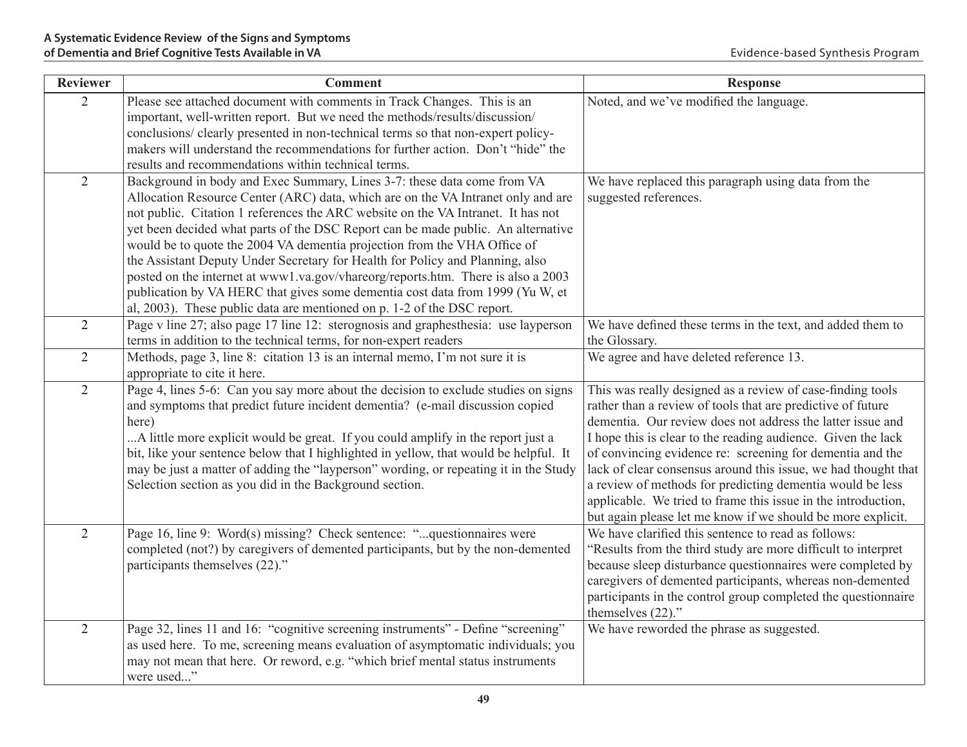| <b>Reviewer</b> | <b>Comment</b>                                                                                                                                         | <b>Response</b>                                                |
|-----------------|--------------------------------------------------------------------------------------------------------------------------------------------------------|----------------------------------------------------------------|
| $\overline{2}$  | Please see attached document with comments in Track Changes. This is an<br>important, well-written report. But we need the methods/results/discussion/ | Noted, and we've modified the language.                        |
|                 | conclusions/ clearly presented in non-technical terms so that non-expert policy-                                                                       |                                                                |
|                 | makers will understand the recommendations for further action. Don't "hide" the                                                                        |                                                                |
|                 | results and recommendations within technical terms.                                                                                                    |                                                                |
| $\overline{2}$  | Background in body and Exec Summary, Lines 3-7: these data come from VA                                                                                | We have replaced this paragraph using data from the            |
|                 | Allocation Resource Center (ARC) data, which are on the VA Intranet only and are                                                                       | suggested references.                                          |
|                 | not public. Citation 1 references the ARC website on the VA Intranet. It has not                                                                       |                                                                |
|                 | yet been decided what parts of the DSC Report can be made public. An alternative                                                                       |                                                                |
|                 | would be to quote the 2004 VA dementia projection from the VHA Office of                                                                               |                                                                |
|                 | the Assistant Deputy Under Secretary for Health for Policy and Planning, also                                                                          |                                                                |
|                 | posted on the internet at www1.va.gov/vhareorg/reports.htm. There is also a 2003                                                                       |                                                                |
|                 | publication by VA HERC that gives some dementia cost data from 1999 (Yu W, et                                                                          |                                                                |
|                 | al, 2003). These public data are mentioned on p. 1-2 of the DSC report.                                                                                |                                                                |
| $\overline{2}$  | Page v line 27; also page 17 line 12: sterognosis and graphesthesia: use layperson                                                                     | We have defined these terms in the text, and added them to     |
|                 | terms in addition to the technical terms, for non-expert readers                                                                                       | the Glossary.                                                  |
| $\overline{2}$  | Methods, page 3, line 8: citation 13 is an internal memo, I'm not sure it is                                                                           | We agree and have deleted reference 13.                        |
|                 | appropriate to cite it here.                                                                                                                           |                                                                |
| $\overline{2}$  | Page 4, lines 5-6: Can you say more about the decision to exclude studies on signs                                                                     | This was really designed as a review of case-finding tools     |
|                 | and symptoms that predict future incident dementia? (e-mail discussion copied                                                                          | rather than a review of tools that are predictive of future    |
|                 | here)                                                                                                                                                  | dementia. Our review does not address the latter issue and     |
|                 | A little more explicit would be great. If you could amplify in the report just a                                                                       | I hope this is clear to the reading audience. Given the lack   |
|                 | bit, like your sentence below that I highlighted in yellow, that would be helpful. It                                                                  | of convincing evidence re: screening for dementia and the      |
|                 | may be just a matter of adding the "layperson" wording, or repeating it in the Study                                                                   | lack of clear consensus around this issue, we had thought that |
|                 | Selection section as you did in the Background section.                                                                                                | a review of methods for predicting dementia would be less      |
|                 |                                                                                                                                                        | applicable. We tried to frame this issue in the introduction,  |
|                 |                                                                                                                                                        | but again please let me know if we should be more explicit.    |
| $\overline{2}$  | Page 16, line 9: Word(s) missing? Check sentence: "questionnaires were                                                                                 | We have clarified this sentence to read as follows:            |
|                 | completed (not?) by caregivers of demented participants, but by the non-demented                                                                       | 'Results from the third study are more difficult to interpret  |
|                 | participants themselves (22)."                                                                                                                         | because sleep disturbance questionnaires were completed by     |
|                 |                                                                                                                                                        | caregivers of demented participants, whereas non-demented      |
|                 |                                                                                                                                                        | participants in the control group completed the questionnaire  |
|                 |                                                                                                                                                        | themselves (22)."                                              |
| $\overline{2}$  | Page 32, lines 11 and 16: "cognitive screening instruments" - Define "screening"                                                                       | We have reworded the phrase as suggested.                      |
|                 | as used here. To me, screening means evaluation of asymptomatic individuals; you                                                                       |                                                                |
|                 | may not mean that here. Or reword, e.g. "which brief mental status instruments                                                                         |                                                                |
|                 | were used"                                                                                                                                             |                                                                |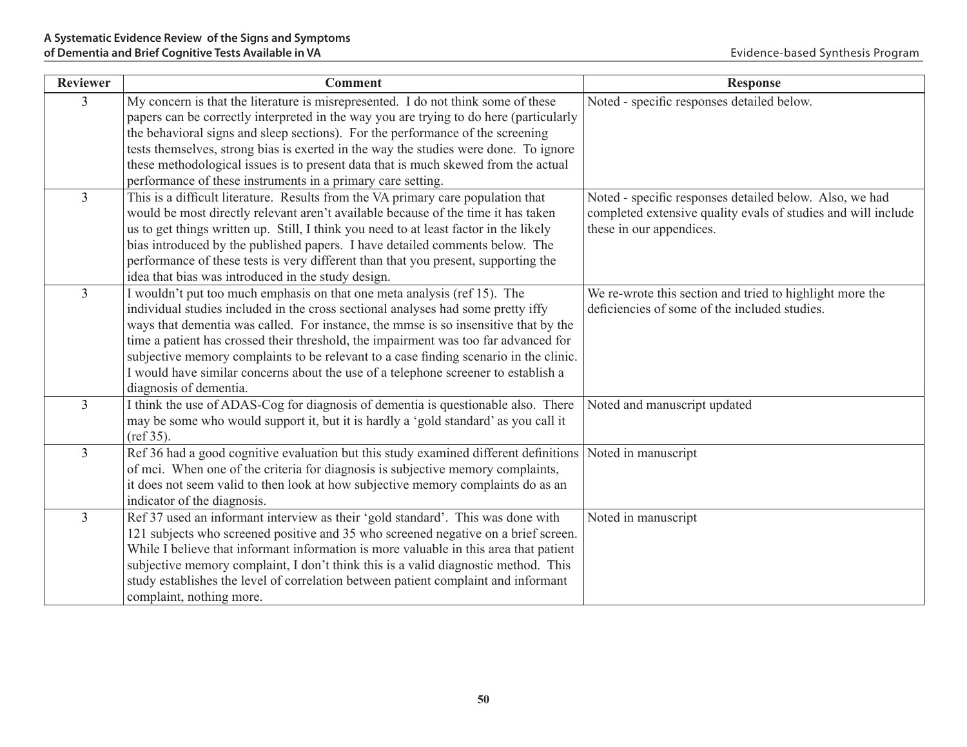| <b>Reviewer</b> | <b>Comment</b>                                                                                                                                                                                                                                                                                                                                                                                                                                                                                                                                      | <b>Response</b>                                                                                                                                      |
|-----------------|-----------------------------------------------------------------------------------------------------------------------------------------------------------------------------------------------------------------------------------------------------------------------------------------------------------------------------------------------------------------------------------------------------------------------------------------------------------------------------------------------------------------------------------------------------|------------------------------------------------------------------------------------------------------------------------------------------------------|
| 3               | My concern is that the literature is misrepresented. I do not think some of these<br>papers can be correctly interpreted in the way you are trying to do here (particularly<br>the behavioral signs and sleep sections). For the performance of the screening<br>tests themselves, strong bias is exerted in the way the studies were done. To ignore<br>these methodological issues is to present data that is much skewed from the actual<br>performance of these instruments in a primary care setting.                                          | Noted - specific responses detailed below.                                                                                                           |
| $\overline{3}$  | This is a difficult literature. Results from the VA primary care population that<br>would be most directly relevant aren't available because of the time it has taken<br>us to get things written up. Still, I think you need to at least factor in the likely<br>bias introduced by the published papers. I have detailed comments below. The<br>performance of these tests is very different than that you present, supporting the<br>idea that bias was introduced in the study design.                                                          | Noted - specific responses detailed below. Also, we had<br>completed extensive quality evals of studies and will include<br>these in our appendices. |
| $\overline{3}$  | I wouldn't put too much emphasis on that one meta analysis (ref 15). The<br>individual studies included in the cross sectional analyses had some pretty iffy<br>ways that dementia was called. For instance, the mmse is so insensitive that by the<br>time a patient has crossed their threshold, the impairment was too far advanced for<br>subjective memory complaints to be relevant to a case finding scenario in the clinic.<br>I would have similar concerns about the use of a telephone screener to establish a<br>diagnosis of dementia. | We re-wrote this section and tried to highlight more the<br>deficiencies of some of the included studies.                                            |
| $\overline{3}$  | I think the use of ADAS-Cog for diagnosis of dementia is questionable also. There<br>may be some who would support it, but it is hardly a 'gold standard' as you call it<br>(ref 35).                                                                                                                                                                                                                                                                                                                                                               | Noted and manuscript updated                                                                                                                         |
| $\overline{3}$  | Ref 36 had a good cognitive evaluation but this study examined different definitions<br>of mci. When one of the criteria for diagnosis is subjective memory complaints,<br>it does not seem valid to then look at how subjective memory complaints do as an<br>indicator of the diagnosis.                                                                                                                                                                                                                                                          | Noted in manuscript                                                                                                                                  |
| $\overline{3}$  | Ref 37 used an informant interview as their 'gold standard'. This was done with<br>121 subjects who screened positive and 35 who screened negative on a brief screen.<br>While I believe that informant information is more valuable in this area that patient<br>subjective memory complaint, I don't think this is a valid diagnostic method. This<br>study establishes the level of correlation between patient complaint and informant<br>complaint, nothing more.                                                                              | Noted in manuscript                                                                                                                                  |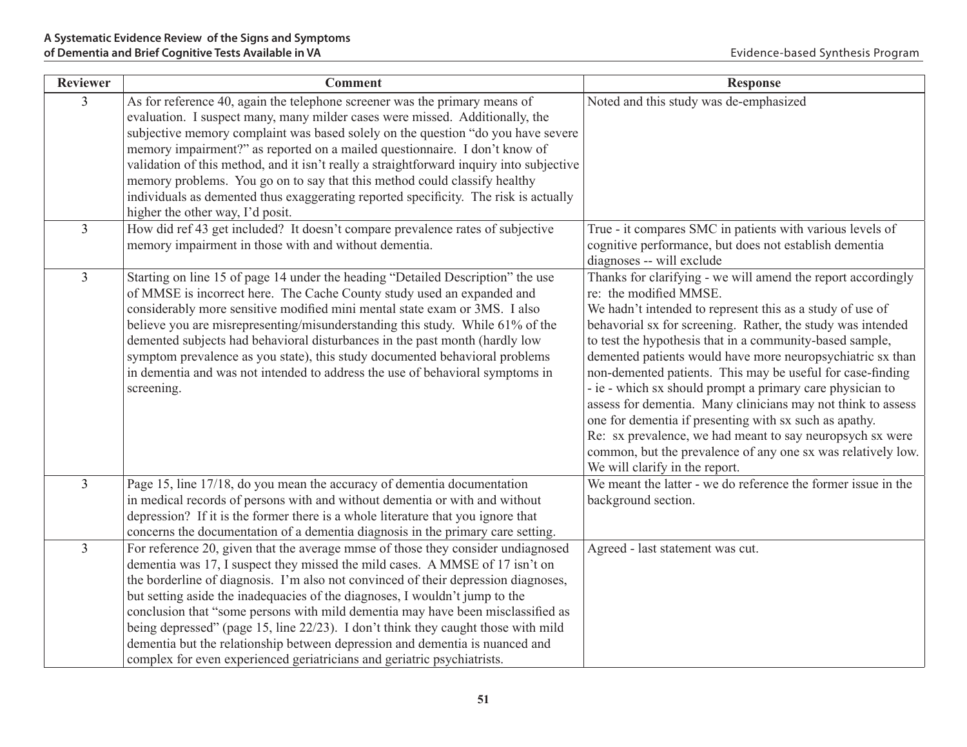| <b>Reviewer</b> | <b>Comment</b>                                                                                                                                                                                                                                                                                                                                                                                                                                                                                                                                                                                                                                                           | <b>Response</b>                                                                                                                                                                                                                                                                                                                                                                                                                                                                                                                                                                                                                                                                                                                                                  |
|-----------------|--------------------------------------------------------------------------------------------------------------------------------------------------------------------------------------------------------------------------------------------------------------------------------------------------------------------------------------------------------------------------------------------------------------------------------------------------------------------------------------------------------------------------------------------------------------------------------------------------------------------------------------------------------------------------|------------------------------------------------------------------------------------------------------------------------------------------------------------------------------------------------------------------------------------------------------------------------------------------------------------------------------------------------------------------------------------------------------------------------------------------------------------------------------------------------------------------------------------------------------------------------------------------------------------------------------------------------------------------------------------------------------------------------------------------------------------------|
| $\overline{3}$  | As for reference 40, again the telephone screener was the primary means of<br>evaluation. I suspect many, many milder cases were missed. Additionally, the<br>subjective memory complaint was based solely on the question "do you have severe<br>memory impairment?" as reported on a mailed questionnaire. I don't know of<br>validation of this method, and it isn't really a straightforward inquiry into subjective<br>memory problems. You go on to say that this method could classify healthy<br>individuals as demented thus exaggerating reported specificity. The risk is actually<br>higher the other way, I'd posit.                                        | Noted and this study was de-emphasized                                                                                                                                                                                                                                                                                                                                                                                                                                                                                                                                                                                                                                                                                                                           |
| $\overline{3}$  | How did ref 43 get included? It doesn't compare prevalence rates of subjective<br>memory impairment in those with and without dementia.                                                                                                                                                                                                                                                                                                                                                                                                                                                                                                                                  | True - it compares SMC in patients with various levels of<br>cognitive performance, but does not establish dementia<br>diagnoses -- will exclude                                                                                                                                                                                                                                                                                                                                                                                                                                                                                                                                                                                                                 |
| $\overline{3}$  | Starting on line 15 of page 14 under the heading "Detailed Description" the use<br>of MMSE is incorrect here. The Cache County study used an expanded and<br>considerably more sensitive modified mini mental state exam or 3MS. I also<br>believe you are misrepresenting/misunderstanding this study. While 61% of the<br>demented subjects had behavioral disturbances in the past month (hardly low<br>symptom prevalence as you state), this study documented behavioral problems<br>in dementia and was not intended to address the use of behavioral symptoms in<br>screening.                                                                                    | Thanks for clarifying - we will amend the report accordingly<br>re: the modified MMSE.<br>We hadn't intended to represent this as a study of use of<br>behavorial sx for screening. Rather, the study was intended<br>to test the hypothesis that in a community-based sample,<br>demented patients would have more neuropsychiatric sx than<br>non-demented patients. This may be useful for case-finding<br>- ie - which sx should prompt a primary care physician to<br>assess for dementia. Many clinicians may not think to assess<br>one for dementia if presenting with sx such as apathy.<br>Re: sx prevalence, we had meant to say neuropsych sx were<br>common, but the prevalence of any one sx was relatively low.<br>We will clarify in the report. |
| $\overline{3}$  | Page 15, line 17/18, do you mean the accuracy of dementia documentation<br>in medical records of persons with and without dementia or with and without<br>depression? If it is the former there is a whole literature that you ignore that<br>concerns the documentation of a dementia diagnosis in the primary care setting.                                                                                                                                                                                                                                                                                                                                            | We meant the latter - we do reference the former issue in the<br>background section.                                                                                                                                                                                                                                                                                                                                                                                                                                                                                                                                                                                                                                                                             |
| $\overline{3}$  | For reference 20, given that the average mmse of those they consider undiagnosed<br>dementia was 17, I suspect they missed the mild cases. A MMSE of 17 isn't on<br>the borderline of diagnosis. I'm also not convinced of their depression diagnoses,<br>but setting aside the inadequacies of the diagnoses, I wouldn't jump to the<br>conclusion that "some persons with mild dementia may have been misclassified as<br>being depressed" (page 15, line 22/23). I don't think they caught those with mild<br>dementia but the relationship between depression and dementia is nuanced and<br>complex for even experienced geriatricians and geriatric psychiatrists. | Agreed - last statement was cut.                                                                                                                                                                                                                                                                                                                                                                                                                                                                                                                                                                                                                                                                                                                                 |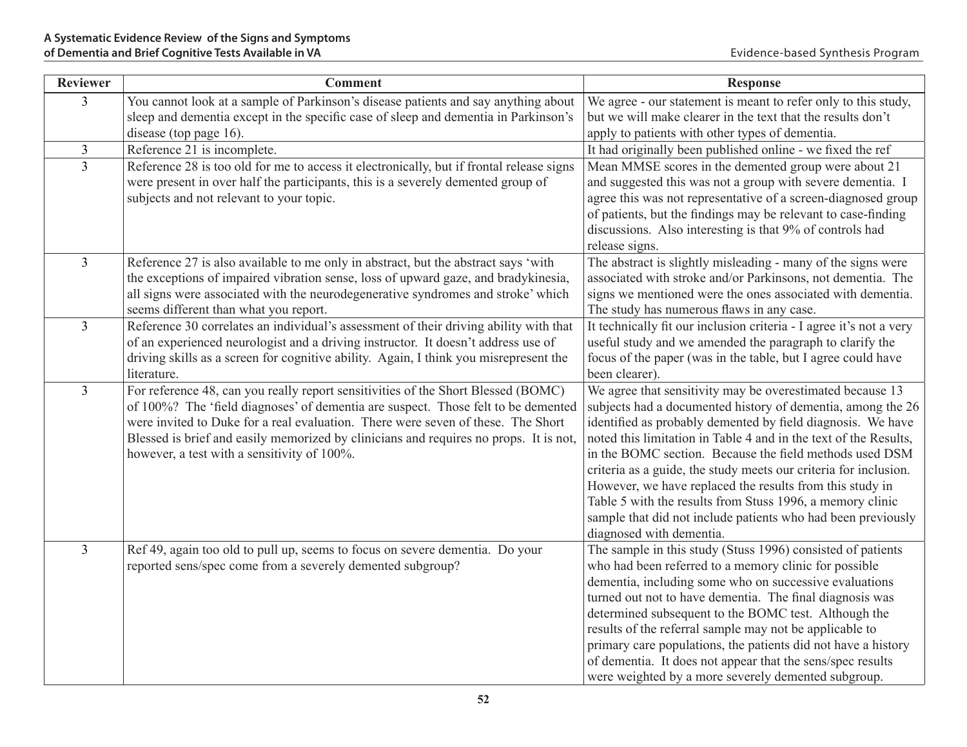| <b>Reviewer</b> | <b>Comment</b>                                                                                                                 | <b>Response</b>                                                                                                  |
|-----------------|--------------------------------------------------------------------------------------------------------------------------------|------------------------------------------------------------------------------------------------------------------|
| $\overline{3}$  | You cannot look at a sample of Parkinson's disease patients and say anything about                                             | We agree - our statement is meant to refer only to this study,                                                   |
|                 | sleep and dementia except in the specific case of sleep and dementia in Parkinson's                                            | but we will make clearer in the text that the results don't                                                      |
|                 | disease (top page 16).                                                                                                         | apply to patients with other types of dementia.                                                                  |
| $\mathfrak{Z}$  | Reference 21 is incomplete.                                                                                                    | It had originally been published online - we fixed the ref                                                       |
| $\overline{3}$  | Reference 28 is too old for me to access it electronically, but if frontal release signs                                       | Mean MMSE scores in the demented group were about 21                                                             |
|                 | were present in over half the participants, this is a severely demented group of                                               | and suggested this was not a group with severe dementia. I                                                       |
|                 | subjects and not relevant to your topic.                                                                                       | agree this was not representative of a screen-diagnosed group                                                    |
|                 |                                                                                                                                | of patients, but the findings may be relevant to case-finding                                                    |
|                 |                                                                                                                                | discussions. Also interesting is that 9% of controls had                                                         |
|                 |                                                                                                                                | release signs.                                                                                                   |
| $\overline{3}$  | Reference 27 is also available to me only in abstract, but the abstract says 'with                                             | The abstract is slightly misleading - many of the signs were                                                     |
|                 | the exceptions of impaired vibration sense, loss of upward gaze, and bradykinesia,                                             | associated with stroke and/or Parkinsons, not dementia. The                                                      |
|                 | all signs were associated with the neurodegenerative syndromes and stroke' which                                               | signs we mentioned were the ones associated with dementia.                                                       |
| $\overline{3}$  | seems different than what you report.<br>Reference 30 correlates an individual's assessment of their driving ability with that | The study has numerous flaws in any case.<br>It technically fit our inclusion criteria - I agree it's not a very |
|                 | of an experienced neurologist and a driving instructor. It doesn't address use of                                              | useful study and we amended the paragraph to clarify the                                                         |
|                 | driving skills as a screen for cognitive ability. Again, I think you misrepresent the                                          | focus of the paper (was in the table, but I agree could have                                                     |
|                 | literature.                                                                                                                    | been clearer).                                                                                                   |
| $\mathfrak{Z}$  | For reference 48, can you really report sensitivities of the Short Blessed (BOMC)                                              | We agree that sensitivity may be overestimated because 13                                                        |
|                 | of 100%? The 'field diagnoses' of dementia are suspect. Those felt to be demented                                              | subjects had a documented history of dementia, among the 26                                                      |
|                 | were invited to Duke for a real evaluation. There were seven of these. The Short                                               | identified as probably demented by field diagnosis. We have                                                      |
|                 | Blessed is brief and easily memorized by clinicians and requires no props. It is not,                                          | noted this limitation in Table 4 and in the text of the Results,                                                 |
|                 | however, a test with a sensitivity of 100%.                                                                                    | in the BOMC section. Because the field methods used DSM                                                          |
|                 |                                                                                                                                | criteria as a guide, the study meets our criteria for inclusion.                                                 |
|                 |                                                                                                                                | However, we have replaced the results from this study in                                                         |
|                 |                                                                                                                                | Table 5 with the results from Stuss 1996, a memory clinic                                                        |
|                 |                                                                                                                                | sample that did not include patients who had been previously                                                     |
|                 |                                                                                                                                | diagnosed with dementia.                                                                                         |
| $\overline{3}$  | Ref 49, again too old to pull up, seems to focus on severe dementia. Do your                                                   | The sample in this study (Stuss 1996) consisted of patients                                                      |
|                 | reported sens/spec come from a severely demented subgroup?                                                                     | who had been referred to a memory clinic for possible                                                            |
|                 |                                                                                                                                | dementia, including some who on successive evaluations                                                           |
|                 |                                                                                                                                | turned out not to have dementia. The final diagnosis was                                                         |
|                 |                                                                                                                                | determined subsequent to the BOMC test. Although the                                                             |
|                 |                                                                                                                                | results of the referral sample may not be applicable to                                                          |
|                 |                                                                                                                                | primary care populations, the patients did not have a history                                                    |
|                 |                                                                                                                                | of dementia. It does not appear that the sens/spec results                                                       |
|                 |                                                                                                                                | were weighted by a more severely demented subgroup.                                                              |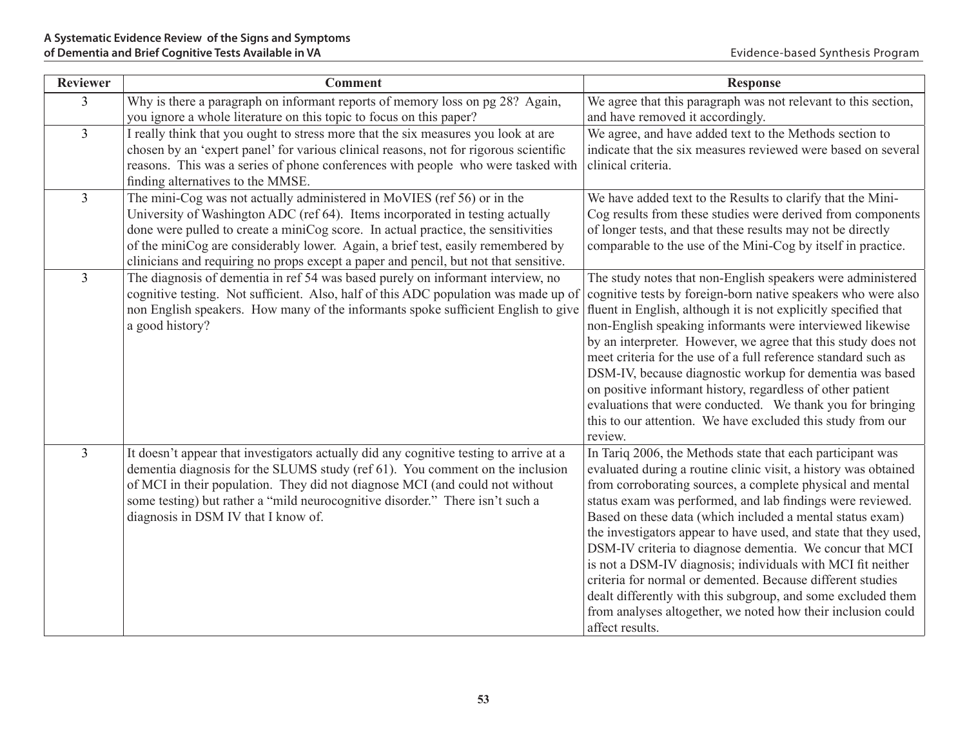| <b>Reviewer</b> | <b>Comment</b>                                                                                                                                                                                                                                                                                                                                                                                                            | <b>Response</b>                                                                                                                                                                                                                                                                                                                                                                                                                                                                                                                                                                                                                                                                                                                        |
|-----------------|---------------------------------------------------------------------------------------------------------------------------------------------------------------------------------------------------------------------------------------------------------------------------------------------------------------------------------------------------------------------------------------------------------------------------|----------------------------------------------------------------------------------------------------------------------------------------------------------------------------------------------------------------------------------------------------------------------------------------------------------------------------------------------------------------------------------------------------------------------------------------------------------------------------------------------------------------------------------------------------------------------------------------------------------------------------------------------------------------------------------------------------------------------------------------|
| 3               | Why is there a paragraph on informant reports of memory loss on pg 28? Again,<br>you ignore a whole literature on this topic to focus on this paper?                                                                                                                                                                                                                                                                      | We agree that this paragraph was not relevant to this section,<br>and have removed it accordingly.                                                                                                                                                                                                                                                                                                                                                                                                                                                                                                                                                                                                                                     |
| $\overline{3}$  | I really think that you ought to stress more that the six measures you look at are<br>chosen by an 'expert panel' for various clinical reasons, not for rigorous scientific<br>reasons. This was a series of phone conferences with people who were tasked with<br>finding alternatives to the MMSE.                                                                                                                      | We agree, and have added text to the Methods section to<br>indicate that the six measures reviewed were based on several<br>clinical criteria.                                                                                                                                                                                                                                                                                                                                                                                                                                                                                                                                                                                         |
| $\overline{3}$  | The mini-Cog was not actually administered in MoVIES (ref 56) or in the<br>University of Washington ADC (ref 64). Items incorporated in testing actually<br>done were pulled to create a miniCog score. In actual practice, the sensitivities<br>of the miniCog are considerably lower. Again, a brief test, easily remembered by<br>clinicians and requiring no props except a paper and pencil, but not that sensitive. | We have added text to the Results to clarify that the Mini-<br>Cog results from these studies were derived from components<br>of longer tests, and that these results may not be directly<br>comparable to the use of the Mini-Cog by itself in practice.                                                                                                                                                                                                                                                                                                                                                                                                                                                                              |
| $\overline{3}$  | The diagnosis of dementia in ref 54 was based purely on informant interview, no<br>cognitive testing. Not sufficient. Also, half of this ADC population was made up of<br>non English speakers. How many of the informants spoke sufficient English to give<br>a good history?                                                                                                                                            | The study notes that non-English speakers were administered<br>cognitive tests by foreign-born native speakers who were also<br>fluent in English, although it is not explicitly specified that<br>non-English speaking informants were interviewed likewise<br>by an interpreter. However, we agree that this study does not<br>meet criteria for the use of a full reference standard such as<br>DSM-IV, because diagnostic workup for dementia was based<br>on positive informant history, regardless of other patient<br>evaluations that were conducted. We thank you for bringing<br>this to our attention. We have excluded this study from our<br>review.                                                                      |
| $\overline{3}$  | It doesn't appear that investigators actually did any cognitive testing to arrive at a<br>dementia diagnosis for the SLUMS study (ref 61). You comment on the inclusion<br>of MCI in their population. They did not diagnose MCI (and could not without<br>some testing) but rather a "mild neurocognitive disorder." There isn't such a<br>diagnosis in DSM IV that I know of.                                           | In Tariq 2006, the Methods state that each participant was<br>evaluated during a routine clinic visit, a history was obtained<br>from corroborating sources, a complete physical and mental<br>status exam was performed, and lab findings were reviewed.<br>Based on these data (which included a mental status exam)<br>the investigators appear to have used, and state that they used,<br>DSM-IV criteria to diagnose dementia. We concur that MCI<br>is not a DSM-IV diagnosis; individuals with MCI fit neither<br>criteria for normal or demented. Because different studies<br>dealt differently with this subgroup, and some excluded them<br>from analyses altogether, we noted how their inclusion could<br>affect results. |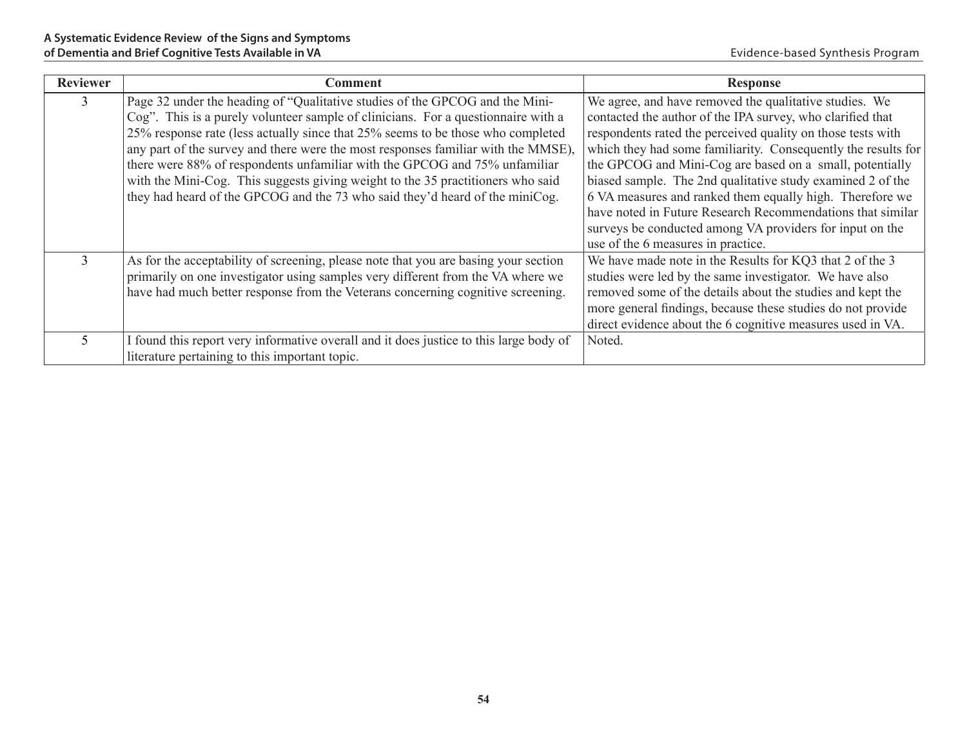| <b>Reviewer</b> | <b>Comment</b>                                                                         | <b>Response</b>                                               |
|-----------------|----------------------------------------------------------------------------------------|---------------------------------------------------------------|
| 3               | Page 32 under the heading of "Qualitative studies of the GPCOG and the Mini-           | We agree, and have removed the qualitative studies. We        |
|                 | Cog". This is a purely volunteer sample of clinicians. For a question aire with a      | contacted the author of the IPA survey, who clarified that    |
|                 | 25% response rate (less actually since that 25% seems to be those who completed        | respondents rated the perceived quality on those tests with   |
|                 | any part of the survey and there were the most responses familiar with the MMSE).      | which they had some familiarity. Consequently the results for |
|                 | there were 88% of respondents unfamiliar with the GPCOG and 75% unfamiliar             | the GPCOG and Mini-Cog are based on a small, potentially      |
|                 | with the Mini-Cog. This suggests giving weight to the 35 practitioners who said        | biased sample. The 2nd qualitative study examined 2 of the    |
|                 | they had heard of the GPCOG and the 73 who said they'd heard of the miniCog.           | 6 VA measures and ranked them equally high. Therefore we      |
|                 |                                                                                        | have noted in Future Research Recommendations that similar    |
|                 |                                                                                        | surveys be conducted among VA providers for input on the      |
|                 |                                                                                        | use of the 6 measures in practice.                            |
| 3               | As for the acceptability of screening, please note that you are basing your section    | We have made note in the Results for KQ3 that 2 of the 3      |
|                 | primarily on one investigator using samples very different from the VA where we        | studies were led by the same investigator. We have also       |
|                 | have had much better response from the Veterans concerning cognitive screening.        | removed some of the details about the studies and kept the    |
|                 |                                                                                        | more general findings, because these studies do not provide   |
|                 |                                                                                        | direct evidence about the 6 cognitive measures used in VA.    |
| 5               | I found this report very informative overall and it does justice to this large body of | Noted.                                                        |
|                 | literature pertaining to this important topic.                                         |                                                               |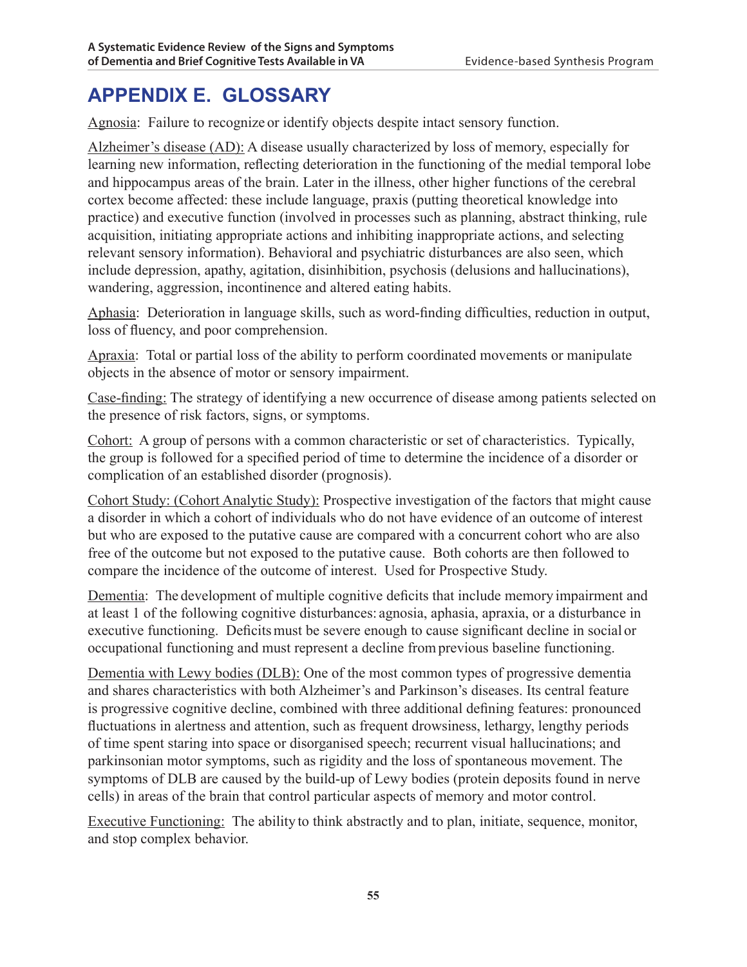# **APPENDIX E. GLOSSARY**

Agnosia: Failure to recognize or identify objects despite intact sensory function.

Alzheimer's disease (AD): A disease usually characterized by loss of memory, especially for learning new information, reflecting deterioration in the functioning of the medial temporal lobe and hippocampus areas of the brain. Later in the illness, other higher functions of the cerebral cortex become affected: these include language, praxis (putting theoretical knowledge into practice) and executive function (involved in processes such as planning, abstract thinking, rule acquisition, initiating appropriate actions and inhibiting inappropriate actions, and selecting relevant sensory information). Behavioral and psychiatric disturbances are also seen, which include depression, apathy, agitation, disinhibition, psychosis (delusions and hallucinations), wandering, aggression, incontinence and altered eating habits.

Aphasia: Deterioration in language skills, such as word-finding difficulties, reduction in output, loss of fluency, and poor comprehension.

Apraxia: Total or partial loss of the ability to perform coordinated movements or manipulate objects in the absence of motor or sensory impairment.

Case-finding: The strategy of identifying a new occurrence of disease among patients selected on the presence of risk factors, signs, or symptoms.

Cohort: A group of persons with a common characteristic or set of characteristics. Typically, the group is followed for a specified period of time to determine the incidence of a disorder or complication of an established disorder (prognosis).

Cohort Study: (Cohort Analytic Study): Prospective investigation of the factors that might cause a disorder in which a cohort of individuals who do not have evidence of an outcome of interest but who are exposed to the putative cause are compared with a concurrent cohort who are also free of the outcome but not exposed to the putative cause. Both cohorts are then followed to compare the incidence of the outcome of interest. Used for Prospective Study.

Dementia: The development of multiple cognitive deficits that include memory impairment and at least 1 of the following cognitive disturbances: agnosia, aphasia, apraxia, or a disturbance in executive functioning. Deficits must be severe enough to cause significant decline in social or occupational functioning and must represent a decline fromprevious baseline functioning.

Dementia with Lewy bodies (DLB): One of the most common types of progressive dementia and shares characteristics with both Alzheimer's and Parkinson's diseases. Its central feature is progressive cognitive decline, combined with three additional defining features: pronounced fluctuations in alertness and attention, such as frequent drowsiness, lethargy, lengthy periods of time spent staring into space or disorganised speech; recurrent visual hallucinations; and parkinsonian motor symptoms, such as rigidity and the loss of spontaneous movement. The symptoms of DLB are caused by the build-up of Lewy bodies (protein deposits found in nerve cells) in areas of the brain that control particular aspects of memory and motor control.

Executive Functioning: The ability to think abstractly and to plan, initiate, sequence, monitor, and stop complex behavior.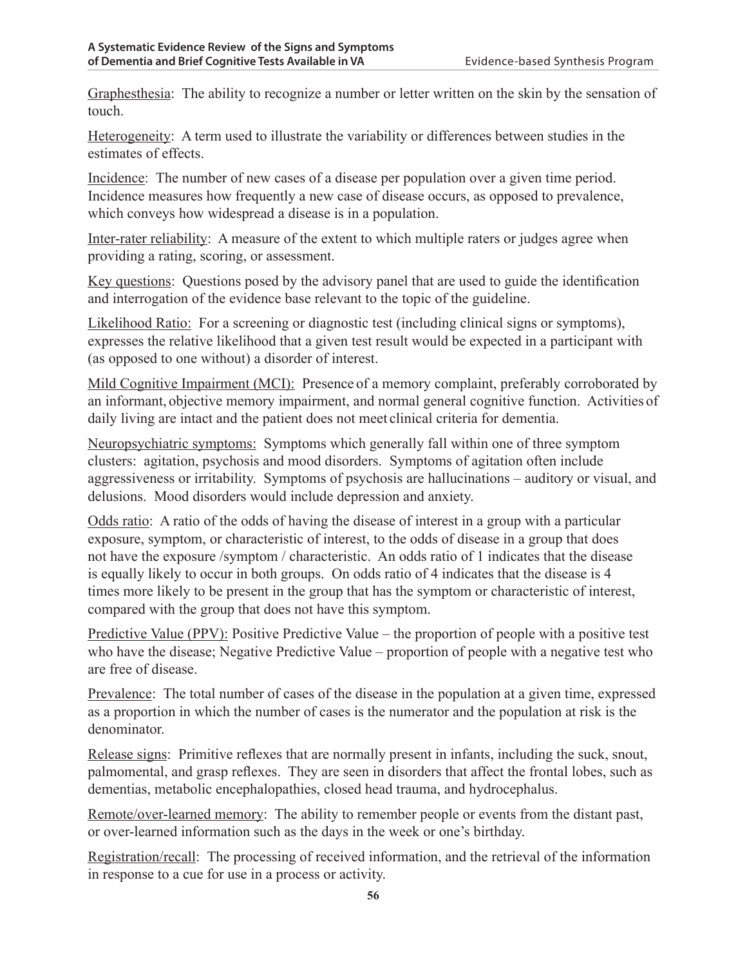Graphesthesia: The ability to recognize a number or letter written on the skin by the sensation of touch.

Heterogeneity: A term used to illustrate the variability or differences between studies in the estimates of effects.

Incidence: The number of new cases of a disease per population over a given time period. Incidence measures how frequently a new case of disease occurs, as opposed to prevalence, which conveys how widespread a disease is in a population.

Inter-rater reliability: A measure of the extent to which multiple raters or judges agree when providing a rating, scoring, or assessment.

Key questions: Questions posed by the advisory panel that are used to guide the identification and interrogation of the evidence base relevant to the topic of the guideline.

Likelihood Ratio: For a screening or diagnostic test (including clinical signs or symptoms), expresses the relative likelihood that a given test result would be expected in a participant with (as opposed to one without) a disorder of interest.

Mild Cognitive Impairment (MCI): Presence of a memory complaint, preferably corroborated by an informant, objective memory impairment, and normal general cognitive function. Activities of daily living are intact and the patient does not meet clinical criteria for dementia.

Neuropsychiatric symptoms: Symptoms which generally fall within one of three symptom clusters: agitation, psychosis and mood disorders. Symptoms of agitation often include aggressiveness or irritability. Symptoms of psychosis are hallucinations – auditory or visual, and delusions. Mood disorders would include depression and anxiety.

Odds ratio: A ratio of the odds of having the disease of interest in a group with a particular exposure, symptom, or characteristic of interest, to the odds of disease in a group that does not have the exposure /symptom / characteristic. An odds ratio of 1 indicates that the disease is equally likely to occur in both groups. On odds ratio of 4 indicates that the disease is 4 times more likely to be present in the group that has the symptom or characteristic of interest, compared with the group that does not have this symptom.

Predictive Value (PPV): Positive Predictive Value – the proportion of people with a positive test who have the disease; Negative Predictive Value – proportion of people with a negative test who are free of disease.

Prevalence: The total number of cases of the disease in the population at a given time, expressed as a proportion in which the number of cases is the numerator and the population at risk is the denominator.

Release signs: Primitive reflexes that are normally present in infants, including the suck, snout, palmomental, and grasp reflexes. They are seen in disorders that affect the frontal lobes, such as dementias, metabolic encephalopathies, closed head trauma, and hydrocephalus.

Remote/over-learned memory: The ability to remember people or events from the distant past, or over-learned information such as the days in the week or one's birthday.

Registration/recall: The processing of received information, and the retrieval of the information in response to a cue for use in a process or activity.